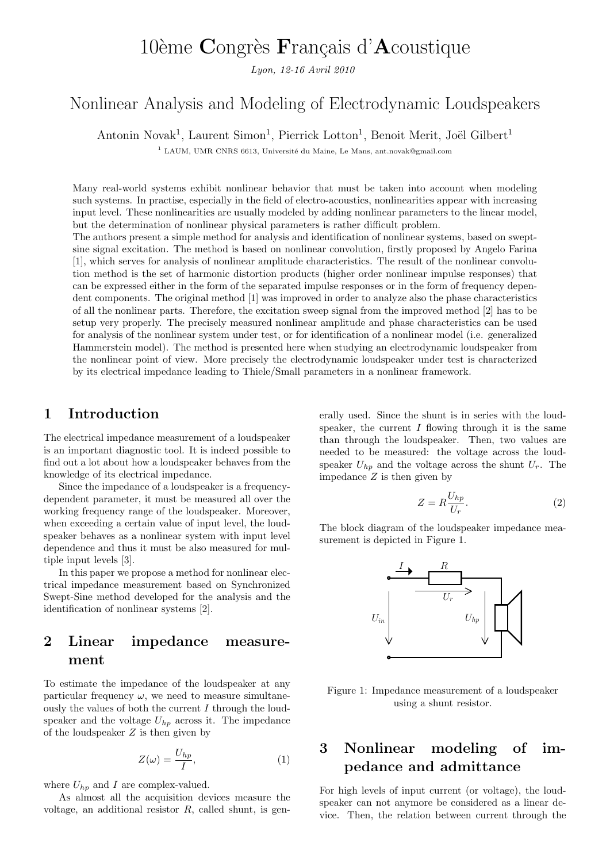# 10ème Congrès Français d'Acoustique

Lyon, 12-16 Avril 2010

# Nonlinear Analysis and Modeling of Electrodynamic Loudspeakers

Antonin Novak<sup>1</sup>, Laurent Simon<sup>1</sup>, Pierrick Lotton<sup>1</sup>, Benoit Merit, Joël Gilbert<sup>1</sup>

<sup>1</sup> LAUM. UMR CNRS 6613, Université du Maine, Le Mans, ant.novak@gmail.com

Many real-world systems exhibit nonlinear behavior that must be taken into account when modeling such systems. In practise, especially in the field of electro-acoustics, nonlinearities appear with increasing input level. These nonlinearities are usually modeled by adding nonlinear parameters to the linear model, but the determination of nonlinear physical parameters is rather difficult problem.

The authors present a simple method for analysis and identification of nonlinear systems, based on sweptsine signal excitation. The method is based on nonlinear convolution, firstly proposed by Angelo Farina [1], which serves for analysis of nonlinear amplitude characteristics. The result of the nonlinear convolution method is the set of harmonic distortion products (higher order nonlinear impulse responses) that can be expressed either in the form of the separated impulse responses or in the form of frequency dependent components. The original method [1] was improved in order to analyze also the phase characteristics of all the nonlinear parts. Therefore, the excitation sweep signal from the improved method [2] has to be setup very properly. The precisely measured nonlinear amplitude and phase characteristics can be used for analysis of the nonlinear system under test, or for identification of a nonlinear model (i.e. generalized Hammerstein model). The method is presented here when studying an electrodynamic loudspeaker from the nonlinear point of view. More precisely the electrodynamic loudspeaker under test is characterized by its electrical impedance leading to Thiele/Small parameters in a nonlinear framework.

#### 1 Introduction

The electrical impedance measurement of a loudspeaker is an important diagnostic tool. It is indeed possible to find out a lot about how a loudspeaker behaves from the knowledge of its electrical impedance.

Since the impedance of a loudspeaker is a frequencydependent parameter, it must be measured all over the working frequency range of the loudspeaker. Moreover, when exceeding a certain value of input level, the loudspeaker behaves as a nonlinear system with input level dependence and thus it must be also measured for multiple input levels [3].

In this paper we propose a method for nonlinear electrical impedance measurement based on Synchronized Swept-Sine method developed for the analysis and the identification of nonlinear systems [2].

### 2 Linear impedance measurement

To estimate the impedance of the loudspeaker at any particular frequency  $\omega$ , we need to measure simultaneously the values of both the current  $I$  through the loudspeaker and the voltage  $U_{hp}$  across it. The impedance of the loudspeaker  $Z$  is then given by

$$
Z(\omega) = \frac{U_{hp}}{I},\tag{1}
$$

where  $U_{hp}$  and I are complex-valued.

As almost all the acquisition devices measure the voltage, an additional resistor  $R$ , called shunt, is generally used. Since the shunt is in series with the loudspeaker, the current  $I$  flowing through it is the same than through the loudspeaker. Then, two values are needed to be measured: the voltage across the loudspeaker  $U_{hp}$  and the voltage across the shunt  $U_r$ . The impedance  $Z$  is then given by

$$
Z = R \frac{U_{hp}}{U_r}.
$$
 (2)

The block diagram of the loudspeaker impedance measurement is depicted in Figure 1.



Figure 1: Impedance measurement of a loudspeaker using a shunt resistor.

### 3 Nonlinear modeling of impedance and admittance

For high levels of input current (or voltage), the loudspeaker can not anymore be considered as a linear device. Then, the relation between current through the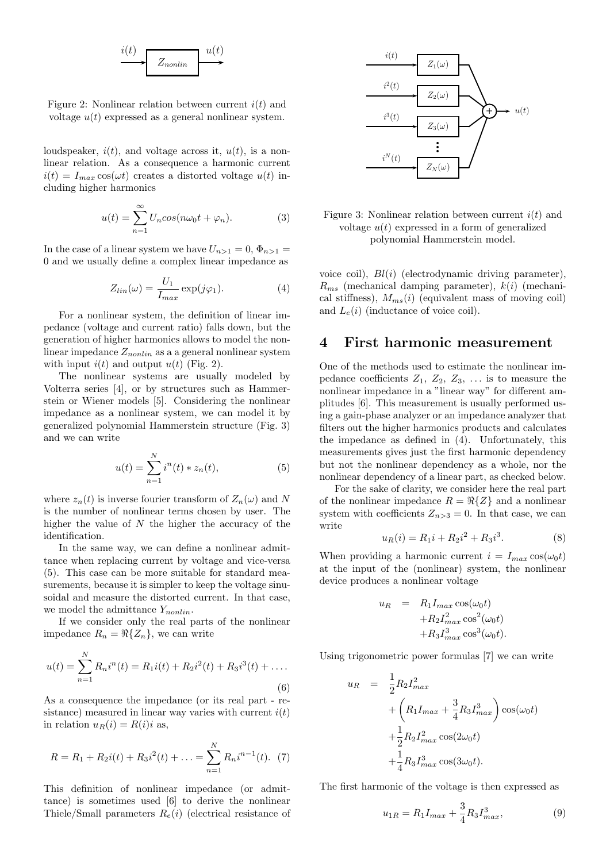

Figure 2: Nonlinear relation between current  $i(t)$  and voltage  $u(t)$  expressed as a general nonlinear system.

loudspeaker,  $i(t)$ , and voltage across it,  $u(t)$ , is a nonlinear relation. As a consequence a harmonic current  $i(t) = I_{max} \cos(\omega t)$  creates a distorted voltage  $u(t)$  including higher harmonics

$$
u(t) = \sum_{n=1}^{\infty} U_n \cos(n\omega_0 t + \varphi_n). \tag{3}
$$

In the case of a linear system we have  $U_{n>1} = 0$ ,  $\Phi_{n>1} =$ 0 and we usually define a complex linear impedance as

$$
Z_{lin}(\omega) = \frac{U_1}{I_{max}} \exp(j\varphi_1). \tag{4}
$$

For a nonlinear system, the definition of linear impedance (voltage and current ratio) falls down, but the generation of higher harmonics allows to model the nonlinear impedance  $Z_{nonlin}$  as a a general nonlinear system with input  $i(t)$  and output  $u(t)$  (Fig. 2).

The nonlinear systems are usually modeled by Volterra series [4], or by structures such as Hammerstein or Wiener models [5]. Considering the nonlinear impedance as a nonlinear system, we can model it by generalized polynomial Hammerstein structure (Fig. 3) and we can write

$$
u(t) = \sum_{n=1}^{N} i^n(t) * z_n(t),
$$
 (5)

where  $z_n(t)$  is inverse fourier transform of  $Z_n(\omega)$  and N is the number of nonlinear terms chosen by user. The higher the value of  $N$  the higher the accuracy of the identification.

In the same way, we can define a nonlinear admittance when replacing current by voltage and vice-versa (5). This case can be more suitable for standard measurements, because it is simpler to keep the voltage sinusoidal and measure the distorted current. In that case, we model the admittance  $Y_{nonlin}$ .

If we consider only the real parts of the nonlinear impedance  $R_n = \Re\{Z_n\}$ , we can write

$$
u(t) = \sum_{n=1}^{N} R_n i^n(t) = R_1 i(t) + R_2 i^2(t) + R_3 i^3(t) + \dots
$$
\n(6)

As a consequence the impedance (or its real part - resistance) measured in linear way varies with current  $i(t)$ in relation  $u_R(i) = R(i)i$  as,

$$
R = R_1 + R_2 i(t) + R_3 i^2(t) + \ldots = \sum_{n=1}^{N} R_n i^{n-1}(t). \tag{7}
$$

This definition of nonlinear impedance (or admittance) is sometimes used [6] to derive the nonlinear Thiele/Small parameters  $R_e(i)$  (electrical resistance of



Figure 3: Nonlinear relation between current  $i(t)$  and voltage  $u(t)$  expressed in a form of generalized polynomial Hammerstein model.

voice coil),  $Bl(i)$  (electrodynamic driving parameter),  $R_{ms}$  (mechanical damping parameter),  $k(i)$  (mechanical stiffness),  $M_{ms}(i)$  (equivalent mass of moving coil) and  $L_e(i)$  (inductance of voice coil).

#### 4 First harmonic measurement

One of the methods used to estimate the nonlinear impedance coefficients  $Z_1, Z_2, Z_3, \ldots$  is to measure the nonlinear impedance in a "linear way" for different amplitudes [6]. This measurement is usually performed using a gain-phase analyzer or an impedance analyzer that filters out the higher harmonics products and calculates the impedance as defined in (4). Unfortunately, this measurements gives just the first harmonic dependency but not the nonlinear dependency as a whole, nor the nonlinear dependency of a linear part, as checked below.

For the sake of clarity, we consider here the real part of the nonlinear impedance  $R = \Re\{Z\}$  and a nonlinear system with coefficients  $Z_{n>3} = 0$ . In that case, we can write

$$
u_R(i) = R_1 i + R_2 i^2 + R_3 i^3.
$$
 (8)

When providing a harmonic current  $i = I_{max} \cos(\omega_0 t)$ at the input of the (nonlinear) system, the nonlinear device produces a nonlinear voltage

$$
u_R = R_1 I_{max} \cos(\omega_0 t)
$$
  
+
$$
R_2 I_{max}^2 \cos^2(\omega_0 t)
$$
  
+
$$
R_3 I_{max}^3 \cos^3(\omega_0 t).
$$

Using trigonometric power formulas [7] we can write

$$
u_R = \frac{1}{2} R_2 I_{max}^2 + \left( R_1 I_{max} + \frac{3}{4} R_3 I_{max}^3 \right) \cos(\omega_0 t) + \frac{1}{2} R_2 I_{max}^2 \cos(2\omega_0 t) + \frac{1}{4} R_3 I_{max}^3 \cos(3\omega_0 t).
$$

The first harmonic of the voltage is then expressed as

$$
u_{1R} = R_1 I_{max} + \frac{3}{4} R_3 I_{max}^3,
$$
\n(9)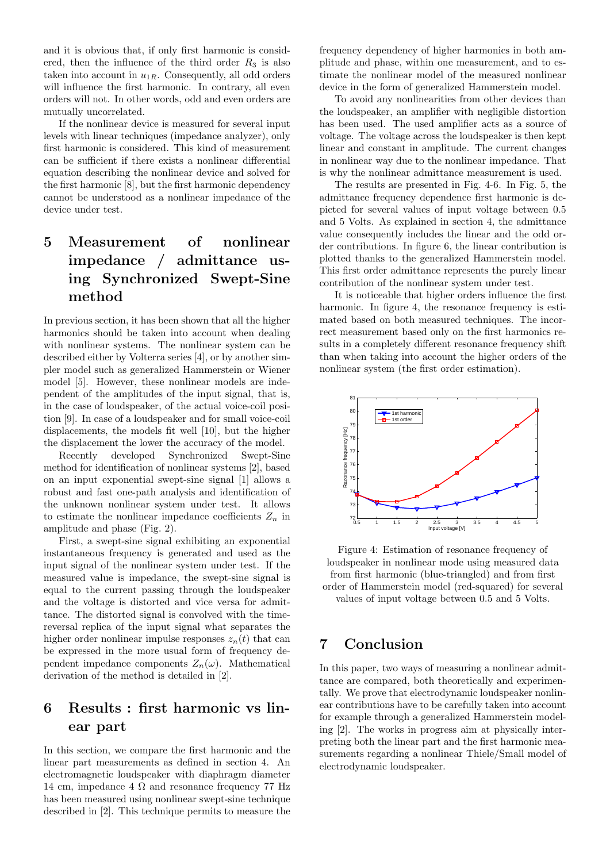and it is obvious that, if only first harmonic is considered, then the influence of the third order  $R_3$  is also taken into account in  $u_{1R}$ . Consequently, all odd orders will influence the first harmonic. In contrary, all even orders will not. In other words, odd and even orders are mutually uncorrelated.

If the nonlinear device is measured for several input levels with linear techniques (impedance analyzer), only first harmonic is considered. This kind of measurement can be sufficient if there exists a nonlinear differential equation describing the nonlinear device and solved for the first harmonic [8], but the first harmonic dependency cannot be understood as a nonlinear impedance of the device under test.

# 5 Measurement of nonlinear impedance / admittance using Synchronized Swept-Sine method

In previous section, it has been shown that all the higher harmonics should be taken into account when dealing with nonlinear systems. The nonlinear system can be described either by Volterra series [4], or by another simpler model such as generalized Hammerstein or Wiener model [5]. However, these nonlinear models are independent of the amplitudes of the input signal, that is, in the case of loudspeaker, of the actual voice-coil position [9]. In case of a loudspeaker and for small voice-coil displacements, the models fit well [10], but the higher the displacement the lower the accuracy of the model.

Recently developed Synchronized Swept-Sine method for identification of nonlinear systems [2], based on an input exponential swept-sine signal [1] allows a robust and fast one-path analysis and identification of the unknown nonlinear system under test. It allows to estimate the nonlinear impedance coefficients  $Z_n$  in amplitude and phase (Fig. 2).

First, a swept-sine signal exhibiting an exponential instantaneous frequency is generated and used as the input signal of the nonlinear system under test. If the measured value is impedance, the swept-sine signal is equal to the current passing through the loudspeaker and the voltage is distorted and vice versa for admittance. The distorted signal is convolved with the timereversal replica of the input signal what separates the higher order nonlinear impulse responses  $z_n(t)$  that can be expressed in the more usual form of frequency dependent impedance components  $Z_n(\omega)$ . Mathematical derivation of the method is detailed in [2].

### 6 Results : first harmonic vs linear part

In this section, we compare the first harmonic and the linear part measurements as defined in section 4. An electromagnetic loudspeaker with diaphragm diameter 14 cm, impedance 4  $\Omega$  and resonance frequency 77 Hz has been measured using nonlinear swept-sine technique described in [2]. This technique permits to measure the frequency dependency of higher harmonics in both amplitude and phase, within one measurement, and to estimate the nonlinear model of the measured nonlinear device in the form of generalized Hammerstein model.

To avoid any nonlinearities from other devices than the loudspeaker, an amplifier with negligible distortion has been used. The used amplifier acts as a source of voltage. The voltage across the loudspeaker is then kept linear and constant in amplitude. The current changes in nonlinear way due to the nonlinear impedance. That is why the nonlinear admittance measurement is used.

The results are presented in Fig. 4-6. In Fig. 5, the admittance frequency dependence first harmonic is depicted for several values of input voltage between 0.5 and 5 Volts. As explained in section 4, the admittance value consequently includes the linear and the odd order contributions. In figure 6, the linear contribution is plotted thanks to the generalized Hammerstein model. This first order admittance represents the purely linear contribution of the nonlinear system under test.

It is noticeable that higher orders influence the first harmonic. In figure 4, the resonance frequency is estimated based on both measured techniques. The incorrect measurement based only on the first harmonics results in a completely different resonance frequency shift than when taking into account the higher orders of the nonlinear system (the first order estimation).



Figure 4: Estimation of resonance frequency of loudspeaker in nonlinear mode using measured data from first harmonic (blue-triangled) and from first order of Hammerstein model (red-squared) for several values of input voltage between 0.5 and 5 Volts.

### 7 Conclusion

In this paper, two ways of measuring a nonlinear admittance are compared, both theoretically and experimentally. We prove that electrodynamic loudspeaker nonlinear contributions have to be carefully taken into account for example through a generalized Hammerstein modeling [2]. The works in progress aim at physically interpreting both the linear part and the first harmonic measurements regarding a nonlinear Thiele/Small model of electrodynamic loudspeaker.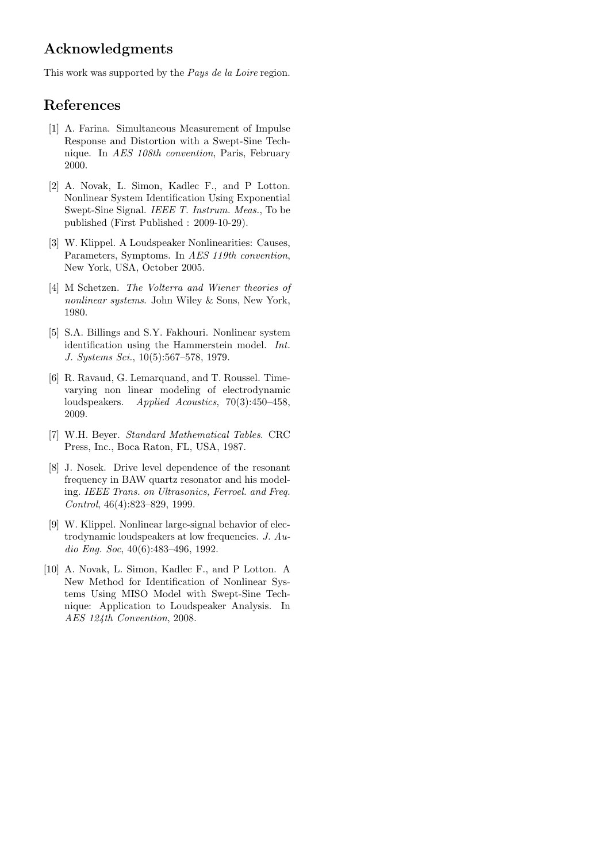### Acknowledgments

This work was supported by the Pays de la Loire region.

## References

- [1] A. Farina. Simultaneous Measurement of Impulse Response and Distortion with a Swept-Sine Technique. In AES 108th convention, Paris, February 2000.
- [2] A. Novak, L. Simon, Kadlec F., and P Lotton. Nonlinear System Identification Using Exponential Swept-Sine Signal. IEEE T. Instrum. Meas., To be published (First Published : 2009-10-29).
- [3] W. Klippel. A Loudspeaker Nonlinearities: Causes, Parameters, Symptoms. In AES 119th convention, New York, USA, October 2005.
- [4] M Schetzen. The Volterra and Wiener theories of nonlinear systems. John Wiley & Sons, New York, 1980.
- [5] S.A. Billings and S.Y. Fakhouri. Nonlinear system identification using the Hammerstein model. Int. J. Systems Sci., 10(5):567–578, 1979.
- [6] R. Ravaud, G. Lemarquand, and T. Roussel. Timevarying non linear modeling of electrodynamic loudspeakers. Applied Acoustics, 70(3):450–458, 2009.
- [7] W.H. Beyer. Standard Mathematical Tables. CRC Press, Inc., Boca Raton, FL, USA, 1987.
- [8] J. Nosek. Drive level dependence of the resonant frequency in BAW quartz resonator and his modeling. IEEE Trans. on Ultrasonics, Ferroel. and Freq. Control, 46(4):823–829, 1999.
- [9] W. Klippel. Nonlinear large-signal behavior of electrodynamic loudspeakers at low frequencies. J. Audio Eng. Soc, 40(6):483–496, 1992.
- [10] A. Novak, L. Simon, Kadlec F., and P Lotton. A New Method for Identification of Nonlinear Systems Using MISO Model with Swept-Sine Technique: Application to Loudspeaker Analysis. In AES 124th Convention, 2008.